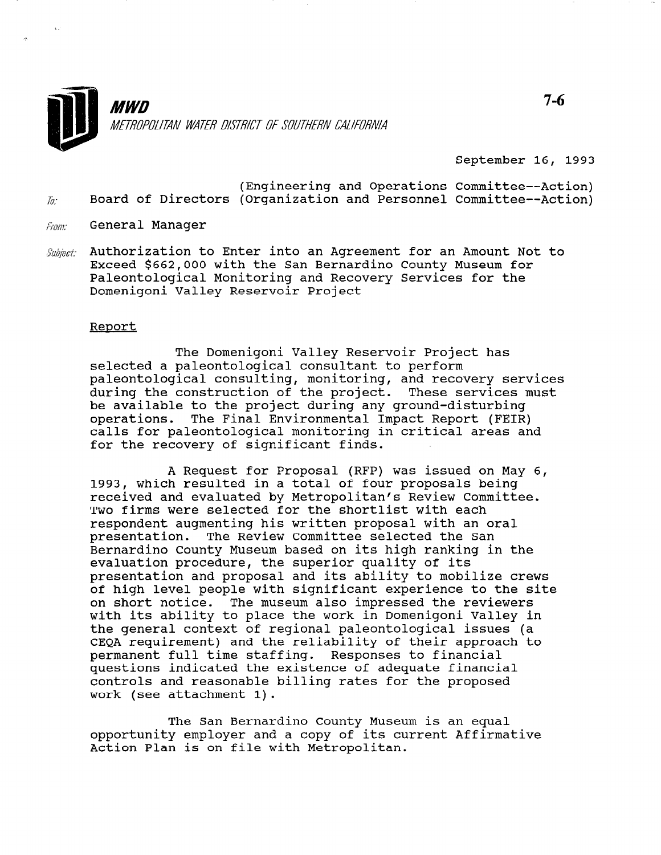

September 16, 1993

- (Engineering and Operations Committee--Action) Board of Directors (Organization and Personnel Committee--Action)  $\hbar$ :
- General Manager From:
- Authorization to Enter into an Agreement for an Amount Not to Subject: Exceed \$662,000 with the San Bernardino County Museum for Paleontological Monitoring and Recovery Services for the Domenigoni Valley Reservoir Project

#### Report

The Domenigoni Valley Reservoir Project has selected a paleontological consultant to perform paleontological consulting, monitoring, and recovery services during the construction of the project. These services must be available to the project during any ground-disturbing operations. The Final Environmental Impact Report (FEIR) calls for paleontological monitoring in critical areas and for the recovery of significant finds.

A Request for Proposal (RFP) was issued on May 6, 1993, which resulted in a total of four proposals being received and evaluated by Metropolitan's Review Committee. Two firms were selected for the shortlist with each respondent augmenting his written proposal with an oral presentation. The Review Committee selected the San Bernardino County Museum based on its high ranking in the evaluation procedure, the superior quality of its presentation and proposal and its ability to mobilize crews of high level people with significant experience to the site on short notice. The museum also impressed the reviewers with its ability to place the work in Domenigoni Valley in the general context of regional paleontological issues (a CEQA requirement) and the reliability of their approach to permanent full time staffing. Responses to financial questions indicated the existence of adequate financial controls and reasonable billing rates for the proposed work (see attachment 1).

The San Bernardino County Museum is an equal opportunity museum is an equal<br>and the current and a copy of its current Affirmative opportunity employer and a copy of it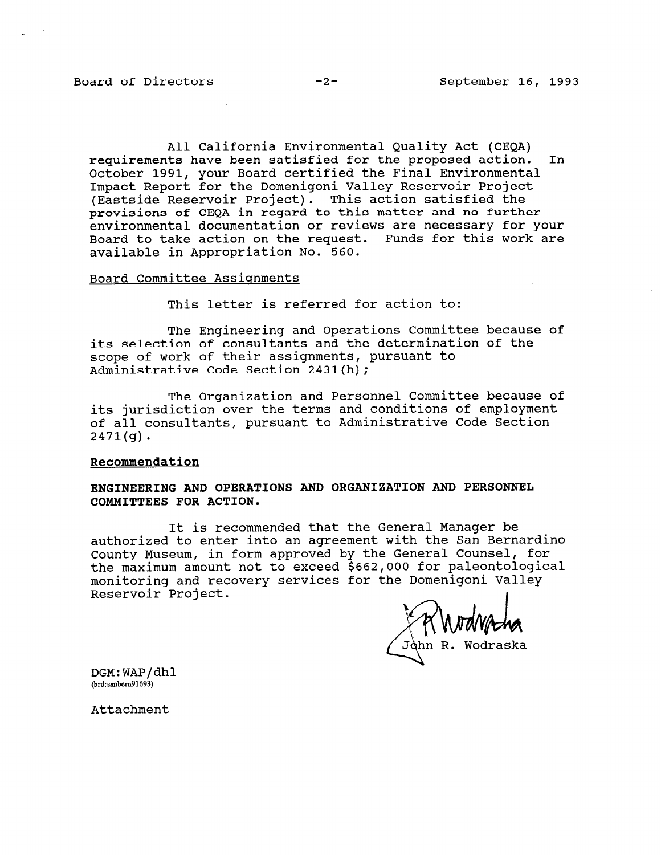All California Environmental Quality Act (CEQA) requirements have been satisfied for the proposed action. In October 1991, your Board certified the Final Environmental Impact Report for the Domenigoni Valley Reservoir Project (Eastside Reservoir Project). This action satisfied the provisions of CEQA in regard to this matter and no further environmental documentation or reviews are necessary for your Board to take action on the request. Funds for this work are available in Appropriation No. 560.

### Board Committee Assignments

This letter is referred for action to:

The Engineering and Operations Committee because of its selection of consultants and the determination of the scope of work of their assignments, pursuant to Administrative Code Section 2431(h);

The Organization and Personnel Committee because of its jurisdiction over the terms and conditions of employment of all consultants, pursuant to Administrative Code Section 2471(g).

# Recommendation

# ENGINEERING AND OPERATIONS AND ORGANIZATION AND PERSONNEL COMMITTEES FOR ACTION.

It is recommended that the General Manager be authorized to enter into an agreement with the San Bernardino County Museum, in form approved by the General Counsel, for the maximum amount not to exceed \$662,000 for paleontological monitoring and recovery services for the Domenigoni Valley Reservoir Project.

Jòhn R. Wodraska

DGM:WAP/dhl @rd:sanbem91693)

Attachment